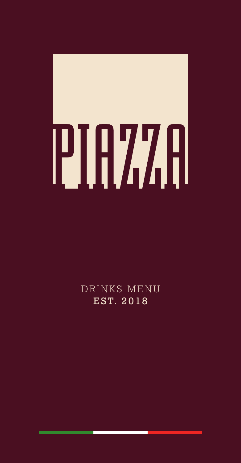# 

DRINKS MENU EST. 2018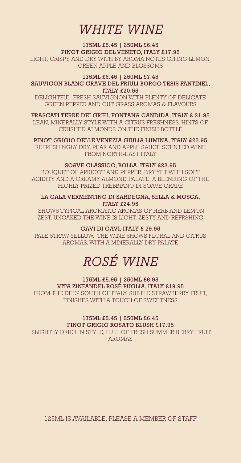# *WHITE WINE*

## 175ML £5.45 | 250ML £6.45 PINOT GRIGIO DEL VENETO, ITALY £17.95

LIGHT, CRISPY AND DRY WITH BY AROMA NOTES CITING LEMON, GREEN APPLE AND BLOSSOMS

## 175ML £6.45 | 250ML £7.45 SAUVIGON BLANC GRAVE DEL FRIULI BORGO TESIS FANTINEL,

ITALY £20.95 DELIGHTFUL, FRESH SAUVIGNON WITH PLENTY OF DELICATE GREEN PEPPER AND CUT GRASS AROMAS & FLAVOURS

FRASCATI TERRE DEI GRIFI, FONTANA CANDIDA, ITALY £ 21.95 LEAN, MINERALLY STYLE WITH A CITRUS FRESHNESS, HINTS OF CRUSHED ALMONDS ON THE FINISH BOTTLE

PINOT GRIGIO DELLE VENEZIA GIULIA LUMINA, ITALY £22.95 REFRESHINGLY DRY, PEAR AND APPLE SAUCE SCENTED WINE FROM NORTH-EAST ITALY

## SOAVE CLASSICO, BOLLA, ITALY £23.95

BOUQUET OF APRICOT AND PEPPER, DRY YET WITH SOFT ACIDITY AND A CREAMY ALMOND PALATE, A BLENDING OF THE HIGHLY PRIZED TREBBIANO DI SOAVE GRAPE

LA CALA VERMENTINO DI SARDEGNA, SELLA & MOSCA, ITALY £24.95

 SHOWS TYPICAL AROMATIC AROMAS OF HERB AND LEMON ZEST, UNOAKED THE WINE IS LIGHT, ZESTY AND REFRSHING

## GAVI DI GAVI, ITALY £ 29.95

PALE STRAW YELLOW, THE WINE SHOWS FLORAL AND CITRUS AROMAS, WITH A MINERALLY DRY PALATE

# *ROSÉ WINE*

175ML £5.95 | 250ML £6.95 VITA ZINFANDEL ROSÉ PUGLIA, ITALY £19.95 FROM THE DEEP SOUTH OF ITALY, SUBTLE STRAWBERRY FRUIT, FINISHES WITH A TOUCH OF SWEETNESS

#### 175ML £5.45 | 250ML £6.45 PINOT GRIGIO ROSATO BLUSH £17.95

 SLIGHTLY DRIER IN STYLE, FULL OF FRESH SUMMER BERRY FRUIT AROMAS

125ML IS AVAILABLE, PLEASE A MEMBER OF STAFF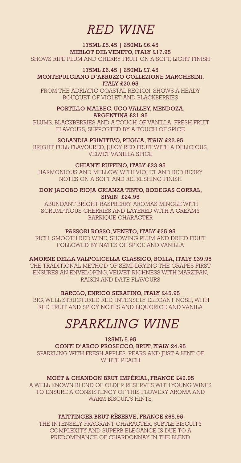# *RED WINE*

175ML £5.45 | 250ML £6.45 MERLOT DEL VENETO, ITALY £17.95 SHOWS RIPE PLUM AND CHERRY FRUIT ON A SOFT, LIGHT FINISH

175ML £6.45 | 250ML £7.45 MONTEPULCIANO D'ABRUZZO COLLEZIONE MARCHESINI, ITALY £20.95

FROM THE ADRIATIC COASTAL REGION, SHOWS A HEADY BOUQUET OF VIOLET AND BLACKBERRIES

## PORTILLO MALBEC, UCO VALLEY, MENDOZA,

ARGENTINA £21.95 PLUMS, BLACKBERRIES AND A TOUCH OF VANILLA, FRESH FRUIT FLAVOURS, SUPPORTED BY A TOUCH OF SPICE

SOLANDIA PRIMITIVO, PUGLIA, ITALY £22.95

BRIGHT FULL FLAVOURED, JUICY RED FRUIT WITH A DELICIOUS, VELVET VANILLA SPICE

## CHIANTI RUFFINO, ITALY £23.95

HARMONIOUS AND MELLOW, WITH VIOLET AND RED BERRY NOTES ON A SOFT AND REFRESHING FINISH

DON JACOBO RIOJA CRIANZA TINTO, BODEGAS CORRAL, SPAIN £24.95

 ABUNDANT BRIGHT RASPBERRY AROMAS MINGLE WITH SCRUMPTIOUS CHERRIES AND LAYERED WITH A CREAMY BARRIQUE CHARACTER

### PASSORI ROSSO, VENETO, ITALY £25.95

RICH, SMOOTH RED WINE, SHOWING PLUM AND DRIED FRUIT FOLLOWED BY NATES OF SPICE AND VANILLA

AMORNE DELLA VALPOLICELLA CLASSICO, BOLLA, ITALY £39.95

THE TRADITIONAL METHOD OF SEMI-DRYING THE GRAPES FIRST ENSURES AN ENVELOPING, VELVET RICHNESS WITH MARZIPAN, RAISIN AND DATE FLAVOURS

BAROLO, ENRICO SERAFINO, ITALY £45.95

 BIG, WELL STRUCTURED RED, INTENSELY ELEGANT NOSE, WITH RED FRUIT AND SPICY NOTES AND LIQUORICE AND VANILA

# *SPARKLING WINE*

125ML 5.95 CONTI D'ARCO PROSECCO, BRUT, ITALY 24.95 SPARKLING WITH FRESH APPLES, PEARS AND JUST A HINT OF WHITE PEACH

MOËT & CHANDON BRUT IMPÉRIAL, FRANCE £49.95 A WELL KNOWN BLEND OF OLDER RESERVES WITH YOUNG WINES TO ENSURE A CONSISTENCY OF THIS FLOWERY AROMA AND WARM BISCUITS HINTS.

TAITTINGER BRUT RÈSERVE, FRANCE £65.95 THE INTENSELY FRAGRANT CHARACTER, SUBTLE BISCUITY COMPLEXITY AND SUPERB ELEGANCE IS DUE TO A PREDOMINANCE OF CHARDONNAY IN THE BLEND